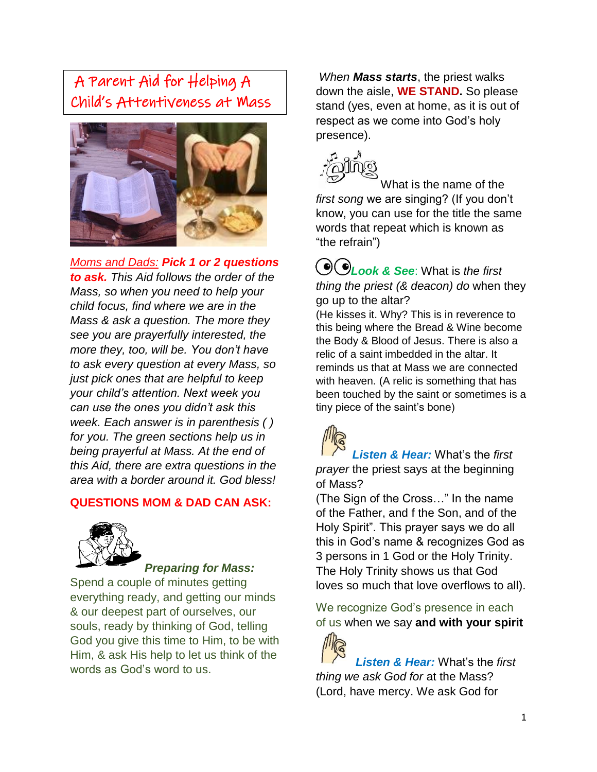A Parent Aid for Helping A Child's Attentiveness at Mass



*Moms and Dads: Pick 1 or 2 questions to ask. This Aid follows the order of the Mass, so when you need to help your child focus, find where we are in the Mass & ask a question. The more they see you are prayerfully interested, the more they, too, will be. You don't have to ask every question at every Mass, so just pick ones that are helpful to keep your child's attention. Next week you can use the ones you didn't ask this week. Each answer is in parenthesis ( ) for you. The green sections help us in being prayerful at Mass. At the end of this Aid, there are extra questions in the area with a border around it. God bless!*

#### **QUESTIONS MOM & DAD CAN ASK:**



#### *Preparing for Mass:*

Spend a couple of minutes getting everything ready, and getting our minds & our deepest part of ourselves, our souls, ready by thinking of God, telling God you give this time to Him, to be with Him, & ask His help to let us think of the words as God's word to us.

*When Mass starts*, the priest walks down the aisle, **WE STAND.** So please stand (yes, even at home, as it is out of respect as we come into God's holy presence).



What is the name of the *first song* we are singing? (If you don't know, you can use for the title the same words that repeat which is known as "the refrain")

*Look & See*: What is *the first thing the priest (& deacon) do* when they go up to the altar? (He kisses it. Why? This is in reverence to this being where the Bread & Wine become the Body & Blood of Jesus. There is also a relic of a saint imbedded in the altar. It reminds us that at Mass we are connected

with heaven. (A relic is something that has been touched by the saint or sometimes is a tiny piece of the saint's bone)

*Listen & Hear:* What's the *first prayer* the priest says at the beginning of Mass?

(The Sign of the Cross…" In the name of the Father, and f the Son, and of the Holy Spirit". This prayer says we do all this in God's name & recognizes God as 3 persons in 1 God or the Holy Trinity. The Holy Trinity shows us that God loves so much that love overflows to all).

We recognize God's presence in each of us when we say **and with your spirit**

*Listen & Hear:* What's the *first thing we ask God for* at the Mass? (Lord, have mercy. We ask God for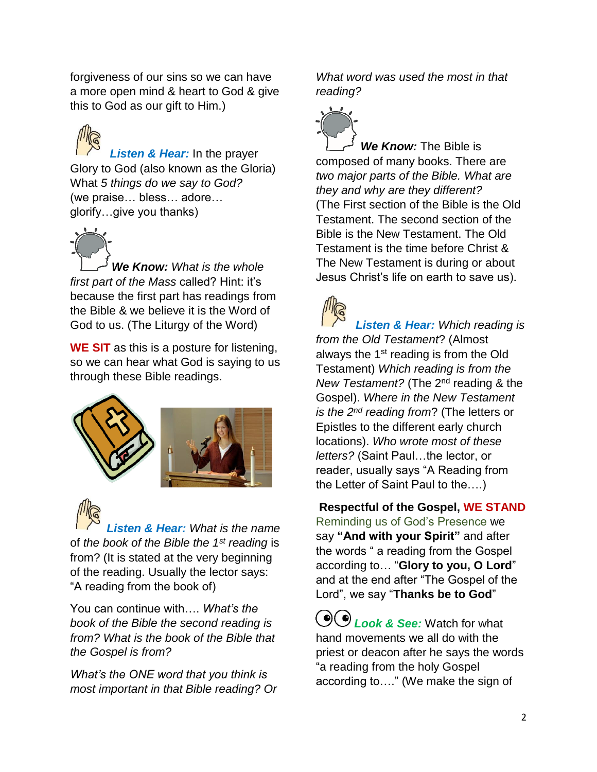forgiveness of our sins so we can have a more open mind & heart to God & give this to God as our gift to Him.)

*Listen & Hear:* In the prayer Glory to God (also known as the Gloria) What *5 things do we say to God?* (we praise… bless… adore… glorify…give you thanks)



*We Know: What is the whole first part of the Mass* called? Hint: it's because the first part has readings from the Bible & we believe it is the Word of God to us. (The Liturgy of the Word)

**WE SIT** as this is a posture for listening, so we can hear what God is saying to us through these Bible readings.



*Listen & Hear: What is the name* of *the book of the Bible the 1st reading* is from? (It is stated at the very beginning of the reading. Usually the lector says: "A reading from the book of)

You can continue with…. *What's the book of the Bible the second reading is from? What is the book of the Bible that the Gospel is from?*

*What's the ONE word that you think is most important in that Bible reading? Or* 

*What word was used the most in that reading?*

*We Know:* The Bible is composed of many books. There are *two major parts of the Bible. What are they and why are they different?* (The First section of the Bible is the Old Testament. The second section of the Bible is the New Testament. The Old Testament is the time before Christ & The New Testament is during or about Jesus Christ's life on earth to save us).

*Listen & Hear: Which reading is from the Old Testament*? (Almost always the  $1<sup>st</sup>$  reading is from the Old Testament) *Which reading is from the New Testament?* (The 2nd reading & the Gospel). *Where in the New Testament is the 2nd reading from*? (The letters or Epistles to the different early church locations). *Who wrote most of these letters?* (Saint Paul…the lector, or reader, usually says "A Reading from the Letter of Saint Paul to the….)

**Respectful of the Gospel, WE STAND**  Reminding us of God's Presence we say **"And with your Spirit"** and after the words " a reading from the Gospel according to… "**Glory to you, O Lord**" and at the end after "The Gospel of the Lord", we say "**Thanks be to God**"

*Look & See:* Watch for what hand movements we all do with the priest or deacon after he says the words "a reading from the holy Gospel according to…." (We make the sign of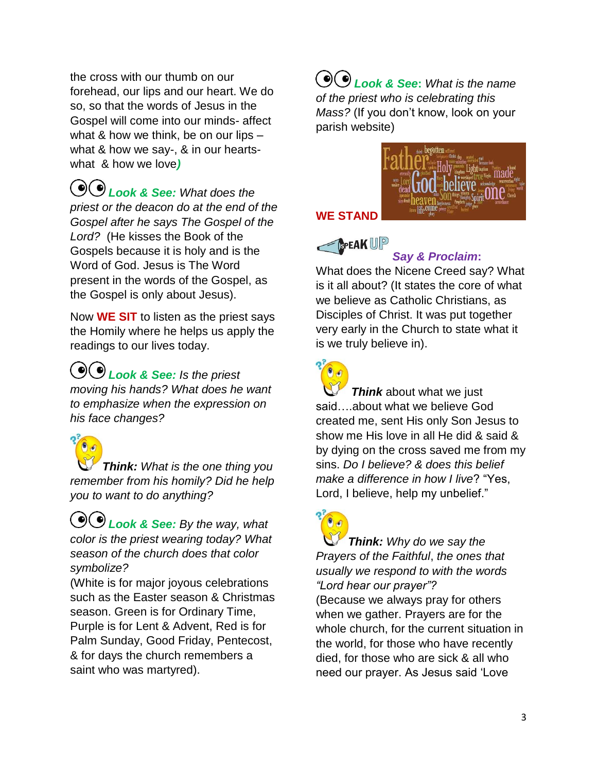the cross with our thumb on our forehead, our lips and our heart. We do so, so that the words of Jesus in the Gospel will come into our minds- affect what & how we think, be on our lips what & how we say-, & in our heartswhat & how we love*)*

*Look & See: What does the priest or the deacon do at the end of the Gospel after he says The Gospel of the Lord?* (He kisses the Book of the Gospels because it is holy and is the Word of God. Jesus is The Word present in the words of the Gospel, as the Gospel is only about Jesus).

Now **WE SIT** to listen as the priest says the Homily where he helps us apply the readings to our lives today.

*Look & See: Is the priest moving his hands? What does he want to emphasize when the expression on his face changes?* 

*Think: What is the one thing you remember from his homily? Did he help you to want to do anything?* 

*Look & See: By the way, what color is the priest wearing today? What season of the church does that color symbolize?* 

(White is for major joyous celebrations such as the Easter season & Christmas season. Green is for Ordinary Time, Purple is for Lent & Advent, Red is for Palm Sunday, Good Friday, Pentecost, & for days the church remembers a saint who was martyred).

*Look & See***:** *What is the name of the priest who is celebrating this Mass?* (If you don't know, look on your parish website)



**WE STAND**



## *Say & Proclaim***:**

What does the Nicene Creed say? What is it all about? (It states the core of what we believe as Catholic Christians, as Disciples of Christ. It was put together very early in the Church to state what it is we truly believe in).



*Think* about what we just said….about what we believe God created me, sent His only Son Jesus to show me His love in all He did & said & by dying on the cross saved me from my sins. *Do I believe? & does this belief make a difference in how I live*? "Yes, Lord, I believe, help my unbelief."

*Think: Why do we say the Prayers of the Faithful*, *the ones that usually we respond to with the words "Lord hear our prayer"?* (Because we always pray for others when we gather. Prayers are for the whole church, for the current situation in the world, for those who have recently died, for those who are sick & all who need our prayer. As Jesus said 'Love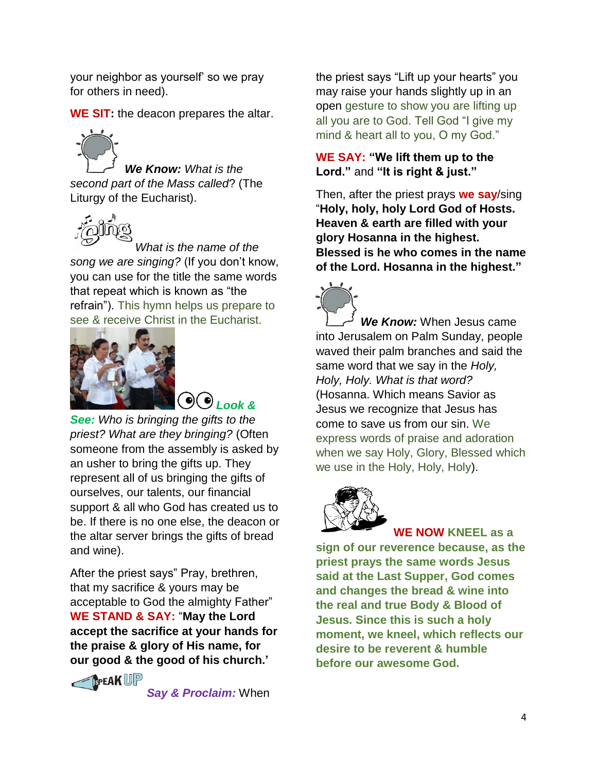your neighbor as yourself' so we pray for others in need).

**WE SIT:** the deacon prepares the altar.



 *We Know: What is the second part of the Mass called*? (The Liturgy of the Eucharist).



*What is the name of the song we are singing?* (If you don't know, you can use for the title the same words that repeat which is known as "the refrain"). This hymn helps us prepare to see & receive Christ in the Eucharist.



*See: Who is bringing the gifts to the priest? What are they bringing?* (Often someone from the assembly is asked by an usher to bring the gifts up. They represent all of us bringing the gifts of ourselves, our talents, our financial support & all who God has created us to be. If there is no one else, the deacon or the altar server brings the gifts of bread and wine).

*Look &* 

After the priest says" Pray, brethren, that my sacrifice & yours may be acceptable to God the almighty Father" **WE STAND & SAY:** "**May the Lord accept the sacrifice at your hands for the praise & glory of His name, for our good & the good of his church.'** 



*Say & Proclaim:* When

the priest says "Lift up your hearts" you may raise your hands slightly up in an open gesture to show you are lifting up all you are to God. Tell God "I give my mind & heart all to you, O my God."

### **WE SAY: "We lift them up to the Lord."** and **"It is right & just."**

Then, after the priest prays **we say**/sing "**Holy, holy, holy Lord God of Hosts. Heaven & earth are filled with your glory Hosanna in the highest. Blessed is he who comes in the name of the Lord. Hosanna in the highest."**

*We Know:* When Jesus came into Jerusalem on Palm Sunday, people waved their palm branches and said the same word that we say in the *Holy, Holy, Holy. What is that word?* (Hosanna. Which means Savior as Jesus we recognize that Jesus has come to save us from our sin. We express words of praise and adoration

when we say Holy, Glory, Blessed which

we use in the Holy, Holy, Holy).



### **WE NOW KNEEL as a**

**sign of our reverence because, as the priest prays the same words Jesus said at the Last Supper, God comes and changes the bread & wine into the real and true Body & Blood of Jesus. Since this is such a holy moment, we kneel, which reflects our desire to be reverent & humble before our awesome God.**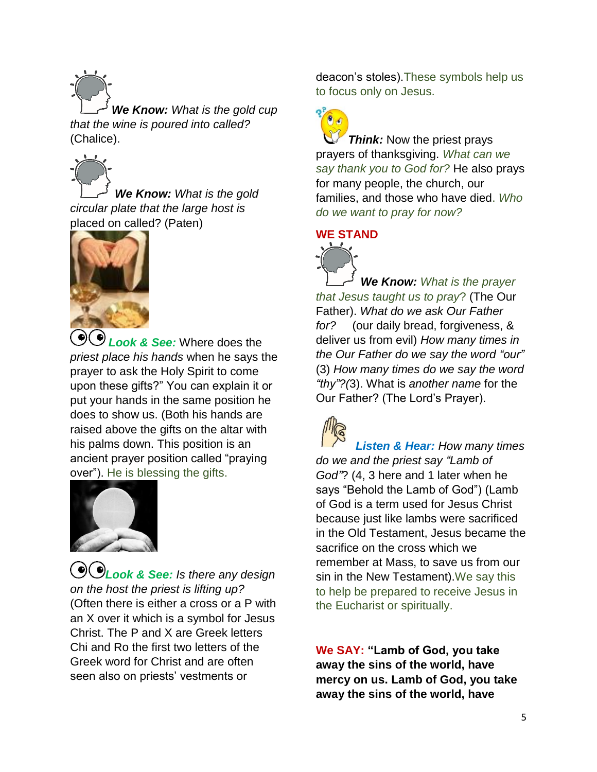*We Know: What is the gold cup that the wine is poured into called?* (Chalice).



*We Know: What is the gold circular plate that the large host is* placed on called? (Paten)



*Look & See:* Where does the *priest place his hands* when he says the prayer to ask the Holy Spirit to come upon these gifts?" You can explain it or put your hands in the same position he does to show us. (Both his hands are raised above the gifts on the altar with his palms down. This position is an ancient prayer position called "praying over"). He is blessing the gifts.



*Look & See: Is there any design on the host the priest is lifting up?* (Often there is either a cross or a P with an X over it which is a symbol for Jesus Christ. The P and X are Greek letters Chi and Ro the first two letters of the Greek word for Christ and are often seen also on priests' vestments or

deacon's stoles).These symbols help us to focus only on Jesus.

*Think:* Now the priest prays prayers of thanksgiving. *What can we say thank you to God for?* He also prays for many people, the church, our families, and those who have died. *Who do we want to pray for now?*

#### **WE STAND**



*We Know: What is the prayer that Jesus taught us to pray*? (The Our Father). *What do we ask Our Father for?* (our daily bread, forgiveness, & deliver us from evil) *How many times in the Our Father do we say the word "our"* (3) *How many times do we say the word "thy"?(*3). What is *another name* for the Our Father? (The Lord's Prayer).

*Listen & Hear: How many times do we and the priest say "Lamb of God"*? (4, 3 here and 1 later when he says "Behold the Lamb of God") (Lamb of God is a term used for Jesus Christ because just like lambs were sacrificed in the Old Testament, Jesus became the sacrifice on the cross which we remember at Mass, to save us from our sin in the New Testament).We say this to help be prepared to receive Jesus in the Eucharist or spiritually.

**We SAY: "Lamb of God, you take away the sins of the world, have mercy on us. Lamb of God, you take away the sins of the world, have**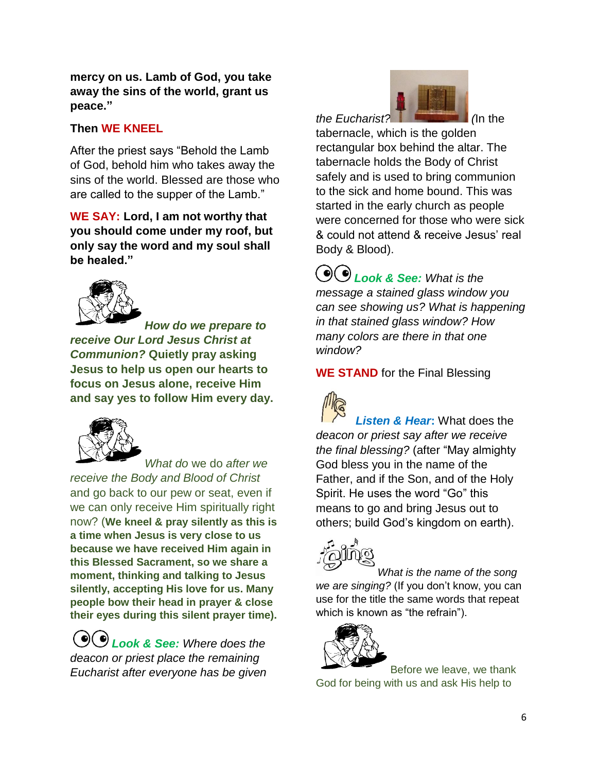**mercy on us. Lamb of God, you take away the sins of the world, grant us peace."**

## **Then WE KNEEL**

After the priest says "Behold the Lamb of God, behold him who takes away the sins of the world. Blessed are those who are called to the supper of the Lamb."

**WE SAY: Lord, I am not worthy that you should come under my roof, but only say the word and my soul shall be healed."**



*How do we prepare to receive Our Lord Jesus Christ at Communion?* **Quietly pray asking Jesus to help us open our hearts to focus on Jesus alone, receive Him and say yes to follow Him every day.**



*What do* we do *after we receive the Body and Blood of Christ* and go back to our pew or seat, even if we can only receive Him spiritually right now? (**We kneel & pray silently as this is a time when Jesus is very close to us because we have received Him again in this Blessed Sacrament, so we share a moment, thinking and talking to Jesus silently, accepting His love for us. Many people bow their head in prayer & close their eyes during this silent prayer time).**

*Look & See: Where does the deacon or priest place the remaining Eucharist after everyone has be given* 



tabernacle, which is the golden rectangular box behind the altar. The tabernacle holds the Body of Christ safely and is used to bring communion to the sick and home bound. This was started in the early church as people were concerned for those who were sick & could not attend & receive Jesus' real Body & Blood).

*Look & See: What is the message a stained glass window you can see showing us? What is happening in that stained glass window? How many colors are there in that one window?*

**WE STAND** for the Final Blessing

*Listen & Hear***:** What does the *deacon or priest say after we receive the final blessing?* (after "May almighty God bless you in the name of the Father, and if the Son, and of the Holy Spirit. He uses the word "Go" this means to go and bring Jesus out to others; build God's kingdom on earth).



*What is the name of the song we are singing?* (If you don't know, you can use for the title the same words that repeat which is known as "the refrain").



Before we leave, we thank God for being with us and ask His help to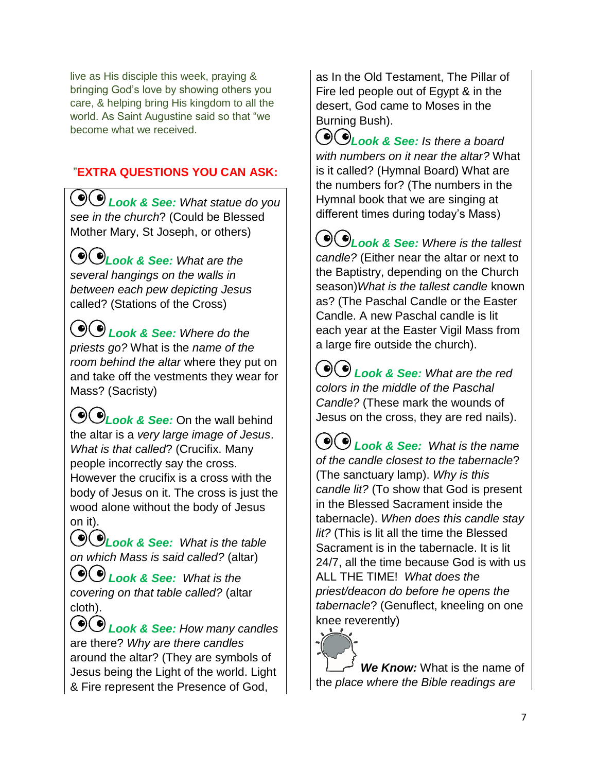live as His disciple this week, praying & bringing God's love by showing others you care, & helping bring His kingdom to all the world. As Saint Augustine said so that "we become what we received.

# "**EXTRA QUESTIONS YOU CAN ASK:**

*Look & See: What statue do you see in the church*? (Could be Blessed Mother Mary, St Joseph, or others)

*Look & See: What are the several hangings on the walls in between each pew depicting Jesus* called? (Stations of the Cross)

*Look & See: Where do the priests go?* What is the *name of the room behind the altar* where they put on and take off the vestments they wear for Mass? (Sacristy)

*Look & See:* On the wall behind the altar is a *very large image of Jesus*. *What is that called*? (Crucifix. Many people incorrectly say the cross. However the crucifix is a cross with the body of Jesus on it. The cross is just the wood alone without the body of Jesus on it).

*Look & See: What is the table on which Mass is said called?* (altar)

*Look & See: What is the covering on that table called?* (altar cloth).

*Look & See: How many candles* are there? *Why are there candles* around the altar? (They are symbols of Jesus being the Light of the world. Light & Fire represent the Presence of God,

as In the Old Testament, The Pillar of Fire led people out of Egypt & in the desert, God came to Moses in the Burning Bush).

*Look & See: Is there a board with numbers on it near the altar?* What is it called? (Hymnal Board) What are the numbers for? (The numbers in the Hymnal book that we are singing at different times during today's Mass)

*Look & See: Where is the tallest candle?* (Either near the altar or next to the Baptistry, depending on the Church season)*What is the tallest candle* known as? (The Paschal Candle or the Easter Candle. A new Paschal candle is lit each year at the Easter Vigil Mass from a large fire outside the church).

*Look & See: What are the red colors in the middle of the Paschal Candle?* (These mark the wounds of Jesus on the cross, they are red nails).

*Look & See: What is the name of the candle closest to the tabernacle*? (The sanctuary lamp). *Why is this candle lit?* (To show that God is present in the Blessed Sacrament inside the tabernacle). *When does this candle stay lit?* (This is lit all the time the Blessed Sacrament is in the tabernacle. It is lit 24/7, all the time because God is with us ALL THE TIME! *What does the priest/deacon do before he opens the tabernacle*? (Genuflect, kneeling on one knee reverently)



*We Know:* What is the name of the *place where the Bible readings are*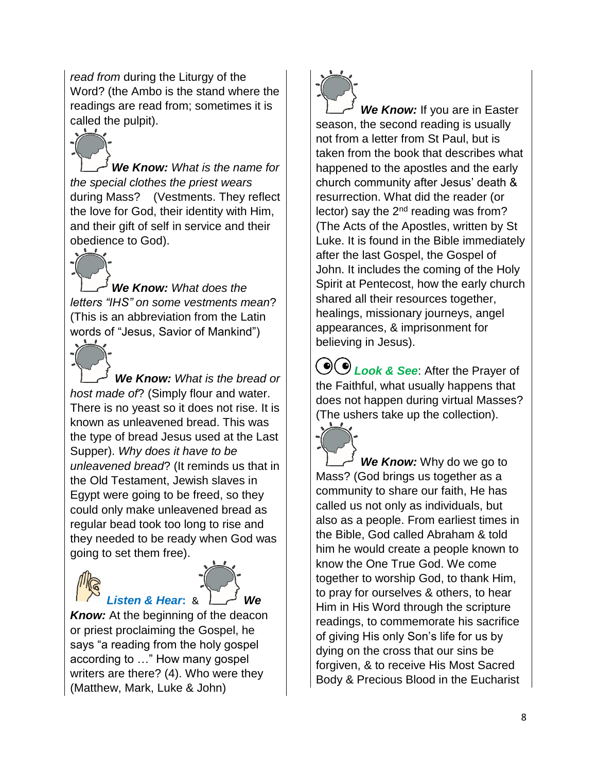*read from* during the Liturgy of the Word? (the Ambo is the stand where the readings are read from; sometimes it is called the pulpit).

*We Know: What is the name for the special clothes the priest wears* during Mass? (Vestments. They reflect the love for God, their identity with Him, and their gift of self in service and their obedience to God).

*We Know: What does the letters "IHS" on some vestments mean*? (This is an abbreviation from the Latin words of "Jesus, Savior of Mankind")

*We Know: What is the bread or host made of*? (Simply flour and water. There is no yeast so it does not rise. It is known as unleavened bread. This was the type of bread Jesus used at the Last Supper). *Why does it have to be unleavened bread*? (It reminds us that in the Old Testament, Jewish slaves in Egypt were going to be freed, so they could only make unleavened bread as regular bead took too long to rise and they needed to be ready when God was going to set them free).



*Know:* At the beginning of the deacon or priest proclaiming the Gospel, he says "a reading from the holy gospel according to …" How many gospel writers are there? (4). Who were they (Matthew, Mark, Luke & John)



*We Know:* If you are in Easter season, the second reading is usually not from a letter from St Paul, but is taken from the book that describes what happened to the apostles and the early church community after Jesus' death & resurrection. What did the reader (or lector) say the  $2^{nd}$  reading was from? (The Acts of the Apostles, written by St Luke. It is found in the Bible immediately after the last Gospel, the Gospel of John. It includes the coming of the Holy Spirit at Pentecost, how the early church shared all their resources together, healings, missionary journeys, angel appearances, & imprisonment for believing in Jesus).

*Look & See*: After the Prayer of the Faithful, what usually happens that does not happen during virtual Masses? (The ushers take up the collection).



*We Know:* Why do we go to Mass? (God brings us together as a community to share our faith, He has called us not only as individuals, but also as a people. From earliest times in the Bible, God called Abraham & told him he would create a people known to know the One True God. We come together to worship God, to thank Him, to pray for ourselves & others, to hear Him in His Word through the scripture readings, to commemorate his sacrifice of giving His only Son's life for us by dying on the cross that our sins be forgiven, & to receive His Most Sacred Body & Precious Blood in the Eucharist